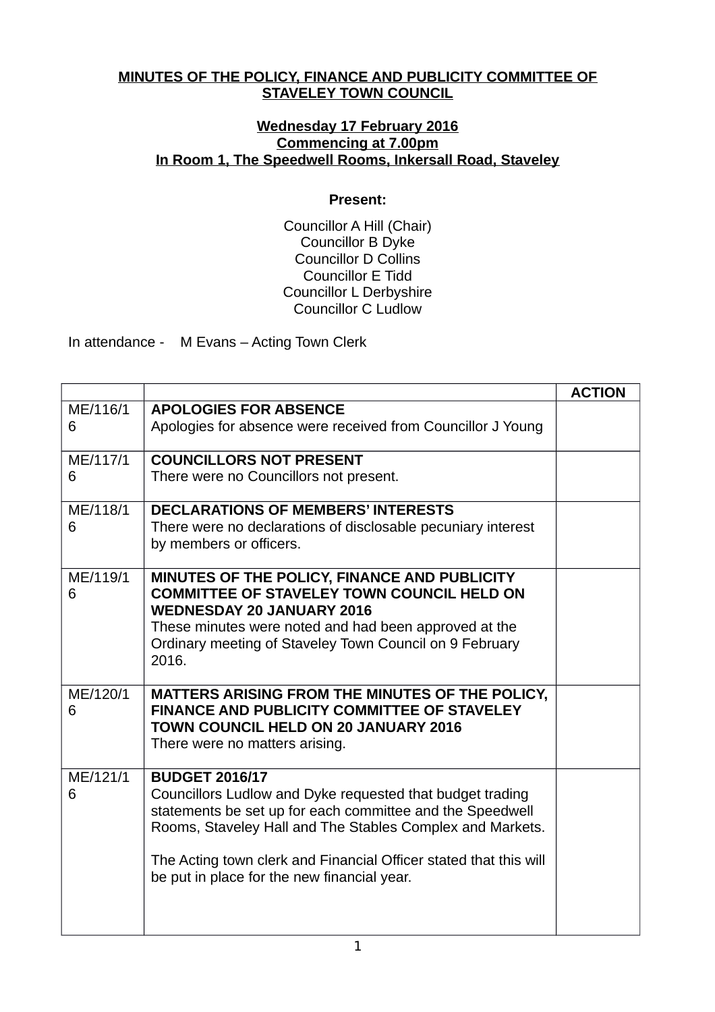## **MINUTES OF THE POLICY, FINANCE AND PUBLICITY COMMITTEE OF STAVELEY TOWN COUNCIL**

## **Wednesday 17 February 2016 Commencing at 7.00pm In Room 1, The Speedwell Rooms, Inkersall Road, Staveley**

## **Present:**

Councillor A Hill (Chair) Councillor B Dyke Councillor D Collins Councillor E Tidd Councillor L Derbyshire Councillor C Ludlow

In attendance - M Evans – Acting Town Clerk

|          |                                                                                                                        | <b>ACTION</b> |
|----------|------------------------------------------------------------------------------------------------------------------------|---------------|
| ME/116/1 | <b>APOLOGIES FOR ABSENCE</b>                                                                                           |               |
| 6        | Apologies for absence were received from Councillor J Young                                                            |               |
| ME/117/1 | <b>COUNCILLORS NOT PRESENT</b>                                                                                         |               |
| 6        | There were no Councillors not present.                                                                                 |               |
| ME/118/1 | <b>DECLARATIONS OF MEMBERS' INTERESTS</b>                                                                              |               |
| 6        | There were no declarations of disclosable pecuniary interest<br>by members or officers.                                |               |
| ME/119/1 | MINUTES OF THE POLICY, FINANCE AND PUBLICITY                                                                           |               |
| 6        | <b>COMMITTEE OF STAVELEY TOWN COUNCIL HELD ON</b><br><b>WEDNESDAY 20 JANUARY 2016</b>                                  |               |
|          | These minutes were noted and had been approved at the                                                                  |               |
|          | Ordinary meeting of Staveley Town Council on 9 February                                                                |               |
|          | 2016.                                                                                                                  |               |
| ME/120/1 | MATTERS ARISING FROM THE MINUTES OF THE POLICY,<br><b>FINANCE AND PUBLICITY COMMITTEE OF STAVELEY</b>                  |               |
| 6        | <b>TOWN COUNCIL HELD ON 20 JANUARY 2016</b>                                                                            |               |
|          | There were no matters arising.                                                                                         |               |
| ME/121/1 | <b>BUDGET 2016/17</b>                                                                                                  |               |
| 6        | Councillors Ludlow and Dyke requested that budget trading<br>statements be set up for each committee and the Speedwell |               |
|          | Rooms, Staveley Hall and The Stables Complex and Markets.                                                              |               |
|          | The Acting town clerk and Financial Officer stated that this will                                                      |               |
|          | be put in place for the new financial year.                                                                            |               |
|          |                                                                                                                        |               |
|          |                                                                                                                        |               |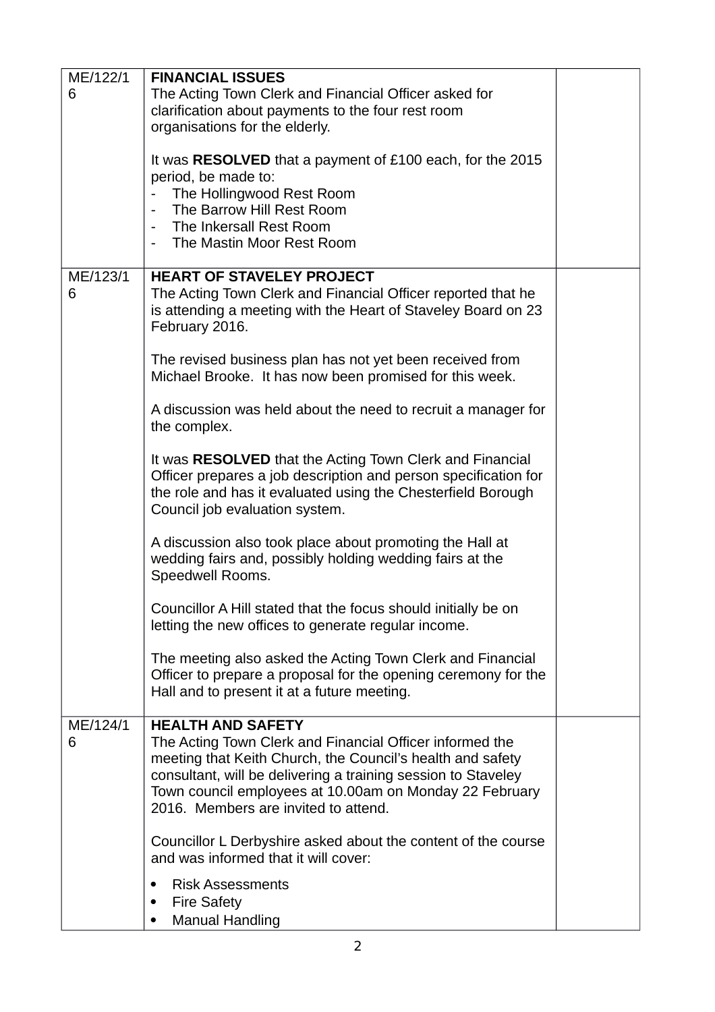| ME/122/1 | <b>FINANCIAL ISSUES</b>                                          |  |
|----------|------------------------------------------------------------------|--|
| 6        | The Acting Town Clerk and Financial Officer asked for            |  |
|          | clarification about payments to the four rest room               |  |
|          | organisations for the elderly.                                   |  |
|          |                                                                  |  |
|          | It was <b>RESOLVED</b> that a payment of £100 each, for the 2015 |  |
|          | period, be made to:                                              |  |
|          | The Hollingwood Rest Room                                        |  |
|          | The Barrow Hill Rest Room<br>$\blacksquare$                      |  |
|          |                                                                  |  |
|          | The Inkersall Rest Room<br>$\sim$                                |  |
|          | The Mastin Moor Rest Room                                        |  |
|          |                                                                  |  |
| ME/123/1 | <b>HEART OF STAVELEY PROJECT</b>                                 |  |
| 6        | The Acting Town Clerk and Financial Officer reported that he     |  |
|          | is attending a meeting with the Heart of Staveley Board on 23    |  |
|          | February 2016.                                                   |  |
|          |                                                                  |  |
|          | The revised business plan has not yet been received from         |  |
|          | Michael Brooke. It has now been promised for this week.          |  |
|          |                                                                  |  |
|          | A discussion was held about the need to recruit a manager for    |  |
|          | the complex.                                                     |  |
|          |                                                                  |  |
|          | It was RESOLVED that the Acting Town Clerk and Financial         |  |
|          | Officer prepares a job description and person specification for  |  |
|          |                                                                  |  |
|          | the role and has it evaluated using the Chesterfield Borough     |  |
|          | Council job evaluation system.                                   |  |
|          |                                                                  |  |
|          | A discussion also took place about promoting the Hall at         |  |
|          | wedding fairs and, possibly holding wedding fairs at the         |  |
|          | Speedwell Rooms.                                                 |  |
|          |                                                                  |  |
|          | Councillor A Hill stated that the focus should initially be on   |  |
|          | letting the new offices to generate regular income.              |  |
|          |                                                                  |  |
|          | The meeting also asked the Acting Town Clerk and Financial       |  |
|          | Officer to prepare a proposal for the opening ceremony for the   |  |
|          | Hall and to present it at a future meeting.                      |  |
|          |                                                                  |  |
| ME/124/1 | <b>HEALTH AND SAFETY</b>                                         |  |
| 6        | The Acting Town Clerk and Financial Officer informed the         |  |
|          | meeting that Keith Church, the Council's health and safety       |  |
|          | consultant, will be delivering a training session to Staveley    |  |
|          | Town council employees at 10.00am on Monday 22 February          |  |
|          | 2016. Members are invited to attend.                             |  |
|          |                                                                  |  |
|          |                                                                  |  |
|          | Councillor L Derbyshire asked about the content of the course    |  |
|          | and was informed that it will cover:                             |  |
|          | <b>Risk Assessments</b><br>٠                                     |  |
|          | <b>Fire Safety</b><br>$\bullet$                                  |  |
|          |                                                                  |  |
|          | <b>Manual Handling</b>                                           |  |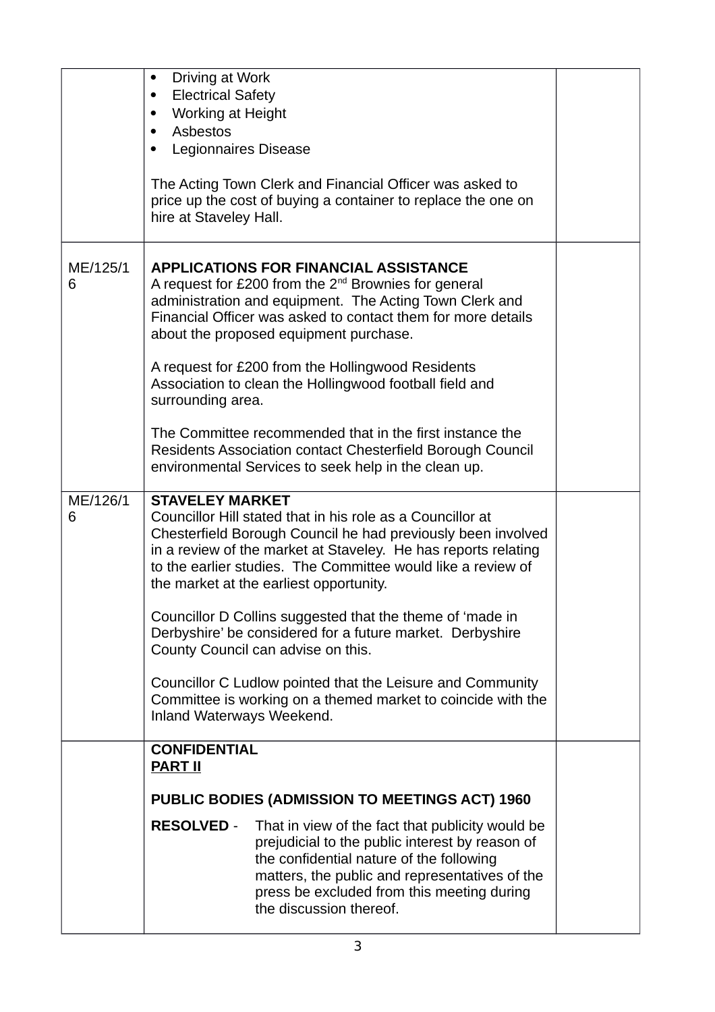|               | Driving at Work<br>$\bullet$<br><b>Electrical Safety</b><br>$\bullet$<br>Working at Height<br>$\bullet$<br>Asbestos<br>$\bullet$<br>Legionnaires Disease<br>$\bullet$<br>The Acting Town Clerk and Financial Officer was asked to<br>price up the cost of buying a container to replace the one on<br>hire at Staveley Hall.                                                                                                                                                                                                                                                                                                                                 |  |
|---------------|--------------------------------------------------------------------------------------------------------------------------------------------------------------------------------------------------------------------------------------------------------------------------------------------------------------------------------------------------------------------------------------------------------------------------------------------------------------------------------------------------------------------------------------------------------------------------------------------------------------------------------------------------------------|--|
| ME/125/1<br>6 | <b>APPLICATIONS FOR FINANCIAL ASSISTANCE</b><br>A request for £200 from the $2^{nd}$ Brownies for general<br>administration and equipment. The Acting Town Clerk and<br>Financial Officer was asked to contact them for more details<br>about the proposed equipment purchase.<br>A request for £200 from the Hollingwood Residents<br>Association to clean the Hollingwood football field and<br>surrounding area.<br>The Committee recommended that in the first instance the<br>Residents Association contact Chesterfield Borough Council<br>environmental Services to seek help in the clean up.                                                        |  |
| ME/126/1<br>6 | <b>STAVELEY MARKET</b><br>Councillor Hill stated that in his role as a Councillor at<br>Chesterfield Borough Council he had previously been involved<br>in a review of the market at Staveley. He has reports relating<br>to the earlier studies. The Committee would like a review of<br>the market at the earliest opportunity.<br>Councillor D Collins suggested that the theme of 'made in<br>Derbyshire' be considered for a future market. Derbyshire<br>County Council can advise on this.<br>Councillor C Ludlow pointed that the Leisure and Community<br>Committee is working on a themed market to coincide with the<br>Inland Waterways Weekend. |  |
|               | <b>CONFIDENTIAL</b><br><b>PART II</b>                                                                                                                                                                                                                                                                                                                                                                                                                                                                                                                                                                                                                        |  |
|               | PUBLIC BODIES (ADMISSION TO MEETINGS ACT) 1960                                                                                                                                                                                                                                                                                                                                                                                                                                                                                                                                                                                                               |  |
|               | <b>RESOLVED -</b><br>That in view of the fact that publicity would be<br>prejudicial to the public interest by reason of<br>the confidential nature of the following<br>matters, the public and representatives of the<br>press be excluded from this meeting during<br>the discussion thereof.                                                                                                                                                                                                                                                                                                                                                              |  |